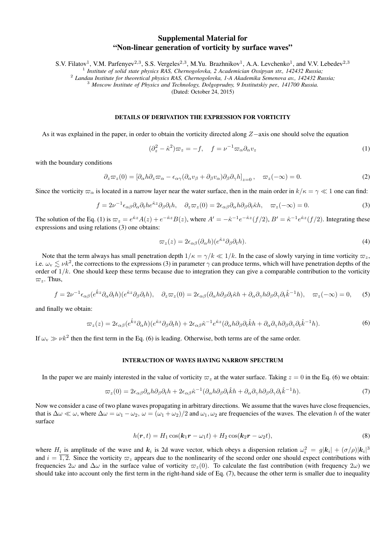## Supplemental Material for "Non-linear generation of vorticity by surface waves"

S.V. Filatov<sup>1</sup>, V.M. Parfenyev<sup>2,3</sup>, S.S. Vergeles<sup>2,3</sup>, M.Yu. Brazhnikov<sup>1</sup>, A.A. Levchenko<sup>1</sup>, and V.V. Lebedev<sup>2,3</sup>

1 *Institute of solid state physics RAS, Chernogolovka, 2 Academician Ossipyan str., 142432 Russia;*

2 *Landau Institute for theoretical physics RAS, Chernogolovka, 1-A Akademika Semenova av., 142432 Russia;*

<sup>3</sup> *Moscow Institute of Physics and Technology, Dolgoprudny, 9 Institutskiy per., 141700 Russia.*

(Dated: October 24, 2015)

## DETAILS OF DERIVATION THE EXPRESSION FOR VORTICITY

As it was explained in the paper, in order to obtain the vorticity directed along Z−axis one should solve the equation

$$
(\partial_z^2 - \hat{\kappa}^2)\varpi_z = -f, \quad f = \nu^{-1}\varpi_\alpha \partial_\alpha v_z \tag{1}
$$

with the boundary conditions

$$
\partial_z \varpi_z(0) = \left[ \partial_\alpha h \partial_z \varpi_\alpha - \epsilon_{\alpha\gamma} (\partial_\alpha v_\beta + \partial_\beta v_\alpha) \partial_\beta \partial_\gamma h \right]_{z=0}, \quad \varpi_z(-\infty) = 0. \tag{2}
$$

Since the vorticity  $\varpi_{\alpha}$  is located in a narrow layer near the water surface, then in the main order in  $k/\kappa = \gamma \ll 1$  one can find:

$$
f = 2\nu^{-1}\epsilon_{\alpha\beta}\partial_{\alpha}\partial_{t}he^{\hat{\kappa}z}\partial_{\beta}\partial_{t}h, \quad \partial_{z}\varpi_{z}(0) = 2\epsilon_{\alpha\beta}\partial_{\alpha}h\partial_{\beta}\partial_{t}\hat{\kappa}h, \quad \varpi_{z}(-\infty) = 0.
$$
 (3)

The solution of the Eq. (1) is  $\varpi_z = e^{\hat{\kappa}z} A(z) + e^{-\hat{\kappa}z} B(z)$ , where  $A' = -\hat{\kappa}^{-1} e^{-\hat{\kappa}z} (f/2)$ ,  $B' = \hat{\kappa}^{-1} e^{\hat{\kappa}z} (f/2)$ . Integrating these expressions and using relations (3) one obtains:

$$
\varpi_z(z) = 2\epsilon_{\alpha\beta}(\partial_\alpha h)(e^{\hat{\kappa}z}\partial_\beta \partial_t h). \tag{4}
$$

Note that the term always has small penetration depth  $1/\kappa = \gamma/k \ll 1/k$ . In the case of slowly varying in time vorticity  $\varpi_z$ , i.e.  $\omega_{\rm v} \lesssim \nu k^2$ , the corrections to the expressions (3) in parameter  $\gamma$  can produce terms, which will have penetration depths of the order of  $1/k$ . One should keep these terms because due to integration they can give a comparable contribution to the vorticity  $\varpi_z$ . Thus,

$$
f = 2\nu^{-1}\epsilon_{\alpha\beta}(e^{\hat{k}z}\partial_{\alpha}\partial_{t}h)(e^{\hat{\kappa}z}\partial_{\beta}\partial_{t}h), \quad \partial_{z}\varpi_{z}(0) = 2\epsilon_{\alpha\beta}(\partial_{\alpha}h\partial_{\beta}\partial_{t}\hat{\kappa}h + \partial_{\alpha}\partial_{\gamma}h\partial_{\beta}\partial_{\gamma}\partial_{t}\hat{k}^{-1}h), \quad \varpi_{z}(-\infty) = 0, \tag{5}
$$

and finally we obtain:

$$
\varpi_z(z) = 2\epsilon_{\alpha\beta}(e^{\hat{k}z}\partial_\alpha h)(e^{\hat{k}z}\partial_\beta\partial_t h) + 2\epsilon_{\alpha\beta}\hat{\kappa}^{-1}e^{\hat{k}z}(\partial_\alpha h\partial_\beta\partial_t\hat{k}h + \partial_\alpha\partial_\gamma h\partial_\beta\partial_\gamma\partial_t\hat{k}^{-1}h).
$$
(6)

If  $\omega_{\rm v} \gg \nu k^2$  then the first term in the Eq. (6) is leading. Otherwise, both terms are of the same order.

## INTERACTION OF WAVES HAVING NARROW SPECTRUM

In the paper we are mainly interested in the value of vorticity  $\varpi_z$  at the water surface. Taking  $z = 0$  in the Eq. (6) we obtain:

$$
\varpi_z(0) = 2\epsilon_{\alpha\beta}\partial_\alpha h \partial_\beta \partial_t h + 2\epsilon_{\alpha\beta}\hat{\kappa}^{-1}(\partial_\alpha h \partial_\beta \partial_t \hat{k} h + \partial_\alpha \partial_\gamma h \partial_\beta \partial_\gamma \partial_t \hat{k}^{-1} h). \tag{7}
$$

Now we consider a case of two plane waves propagating in arbitrary directions. We assume that the waves have close frequencies, that is  $\Delta\omega \ll \omega$ , where  $\Delta\omega = \omega_1 - \omega_2$ ,  $\omega = (\omega_1 + \omega_2)/2$  and  $\omega_1$ ,  $\omega_2$  are frequencies of the waves. The elevation h of the water surface

$$
h(\mathbf{r},t) = H_1 \cos(\mathbf{k}_1 \mathbf{r} - \omega_1 t) + H_2 \cos(\mathbf{k}_2 \mathbf{r} - \omega_2 t), \tag{8}
$$

where  $H_i$  is amplitude of the wave and  $k_i$  is 2d wave vector, which obeys a dispersion relation  $\omega_i^2 = g|k_i| + (\sigma/\rho)|k_i|^3$ and  $i = \overline{1, 2}$ . Since the vorticity  $\varpi_z$  appears due to the nonlinearity of the second order one should expect contributions with frequencies  $2\omega$  and  $\Delta\omega$  in the surface value of vorticity  $\varpi_z(0)$ . To calculate the fast contribution (with frequency  $2\omega$ ) we should take into account only the first term in the right-hand side of Eq. (7), because the other term is smaller due to inequality